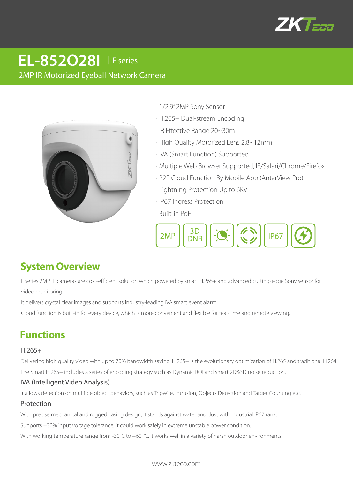

# 2MP IR Motorized Eyeball Network Camera **EL-852O28I** │E series



- · 1/2.9" 2MP Sony Sensor
- · H.265+ Dual-stream Encoding
- · IR Effective Range 20~30m
- · High Quality Motorized Lens 2.8~12mm
- · IVA (Smart Function) Supported
- · Multiple Web Browser Supported, IE/Safari/Chrome/Firefox
- · P2P Cloud Function By Mobile App (AntarView Pro)
- · Lightning Protection Up to 6KV
- · IP67 Ingress Protection
- · Built-in PoE



# **System Overview**

E series 2MP IP cameras are cost-efficient solution which powered by smart H.265+ and advanced cutting-edge Sony sensor for video monitoring.

It delivers crystal clear images and supports industry-leading IVA smart event alarm.

Cloud function is built-in for every device, which is more convenient and flexible for real-time and remote viewing.

# **Functions**

#### H.265+

Delivering high quality video with up to 70% bandwidth saving. H.265+ is the evolutionary optimization of H.265 and traditional H.264.

The Smart H.265+ includes a series of encoding strategy such as Dynamic ROI and smart 2D&3D noise reduction.

#### IVA (Intelligent Video Analysis)

It allows detection on multiple object behaviors, such as Tripwire, Intrusion, Objects Detection and Target Counting etc.

#### Protection

With precise mechanical and rugged casing design, it stands against water and dust with industrial IP67 rank.

Supports ±30% input voltage tolerance, it could work safely in extreme unstable power condition.

With working temperature range from -30°C to +60 °C, it works well in a variety of harsh outdoor environments.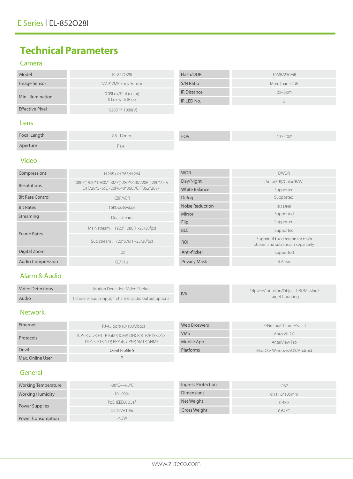# **Technical Parameters**

### Camera

| Model                  | EL-852028I                                  | Flash/DDR          | 16MB/256MB     |
|------------------------|---------------------------------------------|--------------------|----------------|
| Image Sensor           | 1/2.9" 2MP Sony Sensor                      | S/N Ratio          | More than 52dB |
| Min. Illumination      | $0.05$ Lux/F1.4 (color)<br>0 Lux with IR on | <b>IR Distance</b> | $20 - 30m$     |
|                        |                                             | IR LED No.         |                |
| <b>Effective Pixel</b> | 1920(H)* 1080(V)                            |                    |                |
|                        |                                             |                    |                |

#### Lens

| Focal Length | $2.8 - 12$ mm | <b>FOV</b> | $40^{\circ} \sim 102^{\circ}$ |
|--------------|---------------|------------|-------------------------------|
| Aperture     | ۰۱.4          |            |                               |

### Video

| Compressions             | H.265+/H.265/H.264                                                                        | <b>WDR</b>             | <b>DWDR</b>                                                         |
|--------------------------|-------------------------------------------------------------------------------------------|------------------------|---------------------------------------------------------------------|
| <b>Resolutions</b>       | 1080P(1920*1080)/1.3MP(1280*960)/720P(1280*720)<br>D1(720*576)Q720P(640*360)/CIF(352*288) | Day/Night              | Auto(ICR)/Color/B/W                                                 |
|                          |                                                                                           | White Balance          | Supported                                                           |
| <b>Bit Rate Control</b>  | <b>CBR/VBR</b>                                                                            | Defog                  | Supported                                                           |
| <b>Bit Rates</b>         | 16Kbps-8Mbps                                                                              | <b>Noise Reduction</b> | 3D DNR                                                              |
| Streaming                | Dual stream                                                                               | Mirror                 | Supported                                                           |
| <b>Frame Rates</b>       | Main stream: 1920*1080(1~25/30fps)                                                        | Flip                   | Supported                                                           |
|                          |                                                                                           | <b>BLC</b>             | Supported                                                           |
|                          | Sub stream: 720*576(1~25/30fps)                                                           | <b>ROI</b>             | Support 4 fixed region for main<br>stream and sub stream separately |
| Digital Zoom             | 12x                                                                                       | Anti-flicker           | Supported                                                           |
| <b>Audio Compression</b> | G.711u                                                                                    | <b>Privacy Mask</b>    | 4 Areas                                                             |

### Alarm & Audio

| Video Detections | Motion Detection. Video Shelter                        |  | <b>IVA</b> | Tripwire/Intrusion/Object Left/Missing/ |
|------------------|--------------------------------------------------------|--|------------|-----------------------------------------|
| Audio            | 1 channel audio input; 1 channel audio output optional |  |            | Target Counting                         |

## Network

| Ethernet         | 1 RJ-45 port(10/100Mbps)                                                                      | Web Broswers | IE/Firefox/Chrome/Safari   |
|------------------|-----------------------------------------------------------------------------------------------|--------------|----------------------------|
| Protocols        | TCP/IP, UDP, HTTP, IGMP, ICMP, DHCP, RTP/RTSP,DNS,<br>DDNS, FTP, NTP, PPPOE, UPNP, SMTP, SNMP | <b>VMS</b>   | AntarVis 2.0               |
|                  |                                                                                               | Mobile App   | AntarView Pro              |
| Onvif            | Onvif Profile S                                                                               | Platforms    | Mac OS/Windows/iOS/Android |
| Max. Online User |                                                                                               |              |                            |

### General

| Working Temperature      | $-30^{\circ}$ C $\sim$ +60°C | Ingress Protection | <b>IP67</b>     |
|--------------------------|------------------------------|--------------------|-----------------|
| <b>Working Humidity</b>  | $10 - 90\%$                  | <b>Dimensions</b>  | $Q111.6*105$ mm |
| Power Supplies           | PoE, IEEE802.3af             | Net Weight         | 0.4KG           |
|                          | DC12V±10%                    | Gross Weight       | 0.64KG          |
| <b>Power Consumption</b> | $<$ 3W                       |                    |                 |